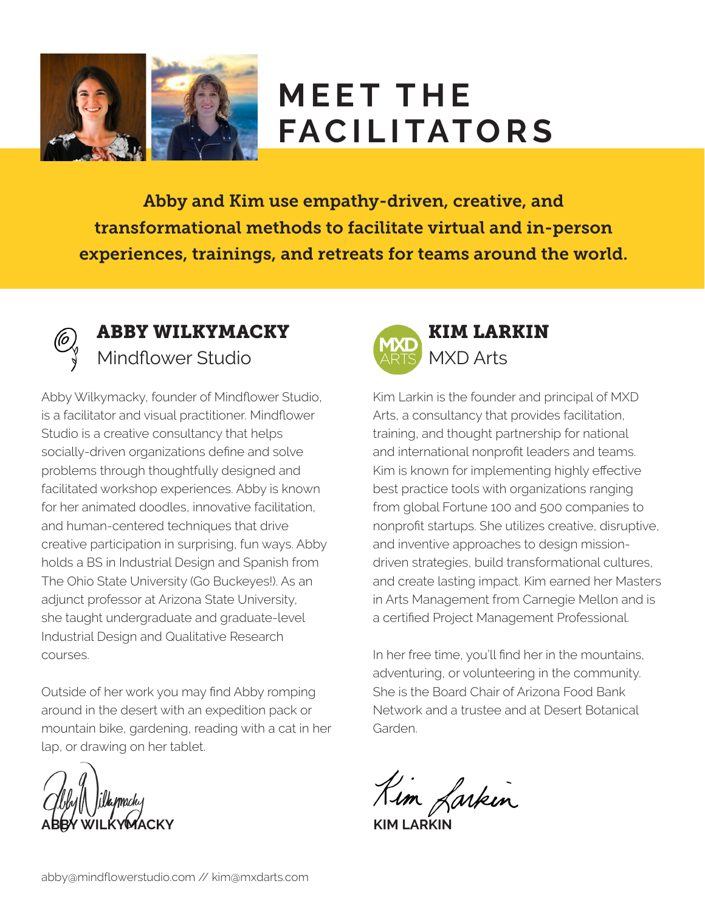

# **MEET THE FACILITATORS**

Abby and Kim use empathy-driven, creative, and transformational methods to facilitate virtual and in-person experiences, trainings, and retreats for teams around the world.



#### ABBY WILKYMACKY Mindflower Studio

Abby Wilkymacky, founder of Mindflower Studio, is a facilitator and visual practitioner. Mindflower Studio is a creative consultancy that helps socially-driven organizations define and solve problems through thoughtfully designed and facilitated workshop experiences. Abby is known for her animated doodles, innovative facilitation, and human-centered techniques that drive creative participation in surprising, fun ways. Abby holds a BS in Industrial Design and Spanish from The Ohio State University (Go Buckeyes!). As an adjunct professor at Arizona State University, she taught undergraduate and graduate-level Industrial Design and Qualitative Research courses.

Outside of her work you may find Abby romping around in the desert with an expedition pack or mountain bike, gardening, reading with a cat in her lap, or drawing on her tablet.

**ABBY WILKYMACKY**



Kim Larkin is the founder and principal of MXD Arts, a consultancy that provides facilitation, training, and thought partnership for national and international nonprofit leaders and teams. Kim is known for implementing highly effective best practice tools with organizations ranging from global Fortune 100 and 500 companies to nonprofit startups. She utilizes creative, disruptive, and inventive approaches to design missiondriven strategies, build transformational cultures, and create lasting impact. Kim earned her Masters in Arts Management from Carnegie Mellon and is a certified Project Management Professional.

In her free time, you'll find her in the mountains, adventuring, or volunteering in the community. She is the Board Chair of Arizona Food Bank Network and a trustee and at Desert Botanical Garden.

Kim Larkin

**KIM LARKIN**